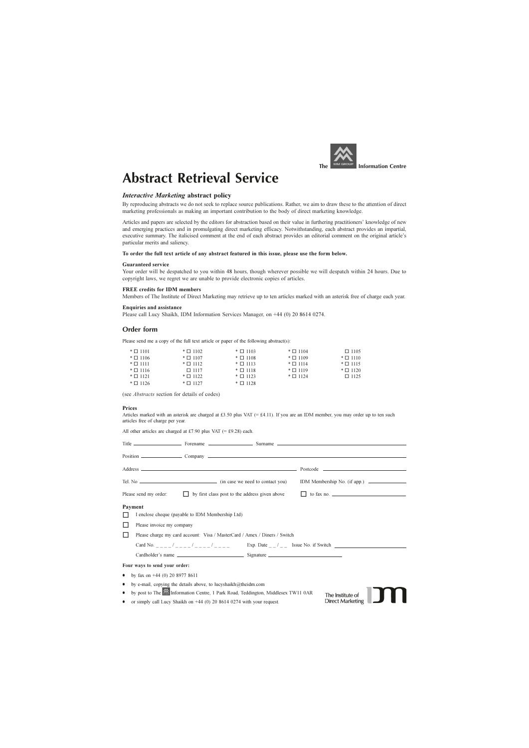

# **Abstract Retrieval Service**

#### **Interactive Marketing abstract policy**

By reproducing abstracts we do not seek to replace source publications. Rather, we aim to draw these to the attention of direct marketing professionals as making an important contribution to the body of direct marketing knowledge.

Articles and papers are selected by the editors for abstraction based on their value in furthering practitioners' knowledge of new and emerging practices and in promulgating direct marketing efficacy. Notwithstanding, each abstract provides an impartial, executive summary. The italicised comment at the end of each abstract provides an editorial comment on the original article's particular merits and saliency.

#### To order the full text article of any abstract featured in this issue, please use the form below.

#### **Guaranteed service**

Your order will be despatched to you within 48 hours, though wherever possible we will despatch within 24 hours. Due to copyright laws, we regret we are unable to provide electronic copies of articles.

#### **FREE** credits for IDM members

Members of The Institute of Direct Marketing may retrieve up to ten articles marked with an asterisk free of charge each year.

#### **Enquiries and assistance**

Please call Lucy Shaikh, IDM Information Services Manager, on +44 (0) 20 8614 0274.

#### Order form

Please send me a copy of the full text article or paper of the following abstract(s):

| $\ast$ $\square$ 1101 | $\ast$ $\Box$ 1102 | $\pm \Box$ 1103       | $\ast$ $\Box$ 1104 | $\Box$ 1105           |
|-----------------------|--------------------|-----------------------|--------------------|-----------------------|
| $\pm \Box$ 1106       | $\ast$ $\Box$ 1107 | $\ast$ $\square$ 1108 | $\ast$ $\Box$ 1109 | $\ast$ $\square$ 1110 |
| $*$ $\Box$ 1111       | $\ast$ $\Box$ 1112 | $\ast$ 0 1113         | $\ast$ $\Box$ 1114 | $\ast$ 0 1115         |
| $\pm \Box$ 1116       | $\Box$ 1117        | $\ast$ $\square$ 1118 | $\ast$ $\Box$ 1119 | $\ast$ $\square$ 1120 |
| $*$ $\Box$ 1121       | $\ast$ $\Box$ 1122 | $\pm \Box$ 1123       | $\ast$ $\Box$ 1124 | $\Box$ 1125           |
| $\pm \Box$ 1126       | $*$ $\Box$ 1127    | $\ast$ $\Box$ 1128    |                    |                       |

(see *Abstracts* section for details of codes)

#### Prices

Articles marked with an asterisk are charged at £3.50 plus VAT (= £4.11). If you are an IDM member, you may order up to ten such articles free of charge per year.

All other articles are charged at £7.90 plus VAT (= £9.28) each.

|                   | Please send my order:<br>by first class post to the address given above<br>$\Box$                                                                                                | to fax no. $\qquad \qquad$                                              |
|-------------------|----------------------------------------------------------------------------------------------------------------------------------------------------------------------------------|-------------------------------------------------------------------------|
| Payment<br>$\Box$ | I enclose cheque (payable to IDM Membership Ltd)<br>Please invoice my company<br>Please charge my card account: Visa / MasterCard / Amex / Diners / Switch<br>Card No. $/$ / / / | Exp. Date $\frac{1}{2}$ $\frac{1}{2}$ Issue No. if Switch $\frac{1}{2}$ |
|                   | Four ways to send your order:                                                                                                                                                    |                                                                         |
| ٠<br>٠            | by fax on $+44$ (0) 20 8977 8611<br>by e-mail, copying the details above, to lucyshaikh@theidm.com                                                                               |                                                                         |
| $\bullet$         | by post to The MInformation Centre, 1 Park Road, Teddington, Middlesex TW11 0AR<br>or simply call Lucy Shaikh on $+44$ (0) 20 8614 0274 with your request.                       | The Institute of<br><b>Direct Marketing</b>                             |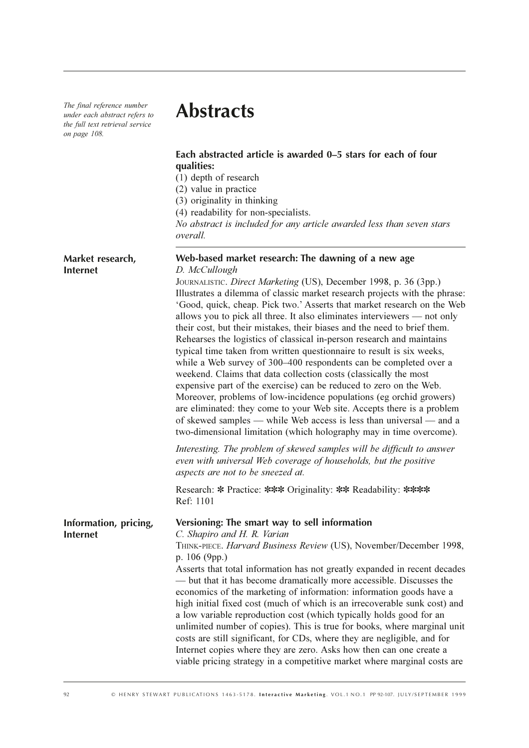The final reference number under each abstract refers to the full text retrieval service on page 108.

# **Abstracts**

### Each abstracted article is awarded 0–5 stars for each of four qualities:

(1) depth of research

(2) value in practice

(3) originality in thinking

(4) readability for non-specialists.

No abstract is included for any article awarded less than seven stars overall.

## Web-based market research: The dawning of a new age Market research. **Internet** D. McCullough JOURNALISTIC. Direct Marketing (US), December 1998, p. 36 (3pp.) Illustrates a dilemma of classic market research projects with the phrase: 'Good, quick, cheap. Pick two.' Asserts that market research on the Web allows you to pick all three. It also eliminates interviewers — not only their cost, but their mistakes, their biases and the need to brief them. Rehearses the logistics of classical in-person research and maintains typical time taken from written questionnaire to result is six weeks, while a Web survey of 300-400 respondents can be completed over a weekend. Claims that data collection costs (classically the most expensive part of the exercise) can be reduced to zero on the Web. Moreover, problems of low-incidence populations (eg orchid growers) are eliminated: they come to your Web site. Accepts there is a problem of skewed samples — while Web access is less than universal — and a two-dimensional limitation (which holography may in time overcome). Interesting. The problem of skewed samples will be difficult to answer even with universal Web coverage of households, but the positive aspects are not to be sneezed at. Research: \* Practice: \*\*\* Originality: \*\* Readability: \*\*\*\* Ref: 1101 Versioning: The smart way to sell information Information, pricing, C. Shapiro and H. R. Varian **Internet** THINK-PIECE. Harvard Business Review (US), November/December 1998, p.  $106$  (9pp.)

Asserts that total information has not greatly expanded in recent decades — but that it has become dramatically more accessible. Discusses the economics of the marketing of information: information goods have a high initial fixed cost (much of which is an irrecoverable sunk cost) and a low variable reproduction cost (which typically holds good for an unlimited number of copies). This is true for books, where marginal unit costs are still significant, for CDs, where they are negligible, and for Internet copies where they are zero. Asks how then can one create a viable pricing strategy in a competitive market where marginal costs are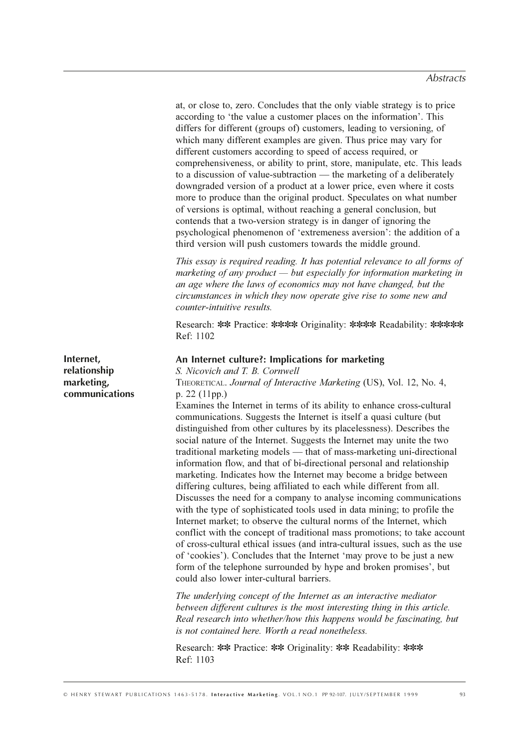at, or close to, zero. Concludes that the only viable strategy is to price according to 'the value a customer places on the information'. This differs for different (groups of) customers, leading to versioning, of which many different examples are given. Thus price may vary for different customers according to speed of access required, or comprehensiveness, or ability to print, store, manipulate, etc. This leads to a discussion of value-subtraction — the marketing of a deliberately downgraded version of a product at a lower price, even where it costs more to produce than the original product. Speculates on what number of versions is optimal, without reaching a general conclusion, but contends that a two-version strategy is in danger of ignoring the psychological phenomenon of 'extremeness aversion': the addition of a third version will push customers towards the middle ground.

This essay is required reading. It has potential relevance to all forms of marketing of any product  $-$  but especially for information marketing in an age where the laws of economics may not have changed, but the circumstances in which they now operate give rise to some new and counter-intuitive results.

Research: \*\* Practice: \*\*\*\* Originality: \*\*\*\* Readability: \*\*\*\*\* Ref: 1102

#### An Internet culture?: Implications for marketing

Internet. relationship marketing, communications

S. Nicovich and T. B. Cornwell THEORETICAL. Journal of Interactive Marketing (US), Vol. 12, No. 4,  $p. 22 (11pp.)$ 

Examines the Internet in terms of its ability to enhance cross-cultural communications. Suggests the Internet is itself a quasi culture (but) distinguished from other cultures by its placelessness). Describes the social nature of the Internet. Suggests the Internet may unite the two traditional marketing models — that of mass-marketing uni-directional information flow, and that of bi-directional personal and relationship marketing. Indicates how the Internet may become a bridge between differing cultures, being affiliated to each while different from all. Discusses the need for a company to analyse incoming communications with the type of sophisticated tools used in data mining; to profile the Internet market: to observe the cultural norms of the Internet, which conflict with the concept of traditional mass promotions; to take account of cross-cultural ethical issues (and intra-cultural issues, such as the use of 'cookies'). Concludes that the Internet 'may prove to be just a new form of the telephone surrounded by hype and broken promises', but could also lower inter-cultural barriers.

The underlying concept of the Internet as an interactive mediator between different cultures is the most interesting thing in this article. Real research into whether/how this happens would be fascinating, but is not contained here. Worth a read nonetheless.

Research: \*\* Practice: \*\* Originality: \*\* Readability: \*\*\* Ref: 1103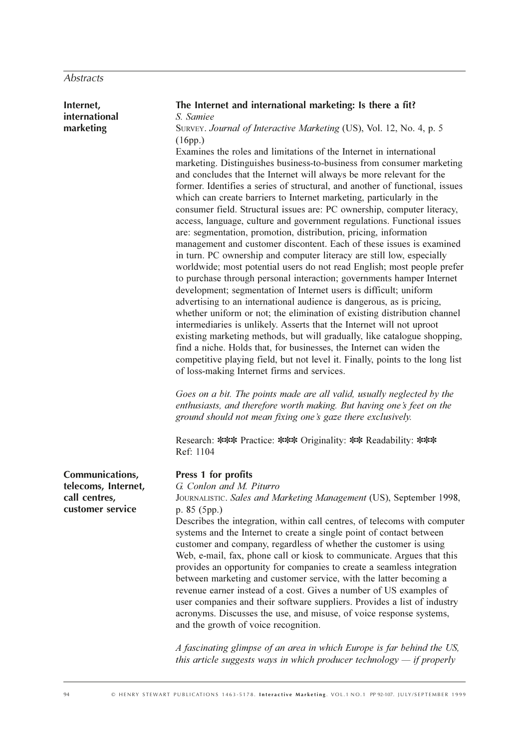| Internet,<br>international                               | The Internet and international marketing: Is there a fit?<br>S. Samiee                                                                                                                                                                                                                                                                                                                                                                                                                                                                                                                                                                                                                                                                                                                                                                                                                                                                                                                                                                                                                                                                                                                                                                                                                                                                                                                                                                                                                                        |
|----------------------------------------------------------|---------------------------------------------------------------------------------------------------------------------------------------------------------------------------------------------------------------------------------------------------------------------------------------------------------------------------------------------------------------------------------------------------------------------------------------------------------------------------------------------------------------------------------------------------------------------------------------------------------------------------------------------------------------------------------------------------------------------------------------------------------------------------------------------------------------------------------------------------------------------------------------------------------------------------------------------------------------------------------------------------------------------------------------------------------------------------------------------------------------------------------------------------------------------------------------------------------------------------------------------------------------------------------------------------------------------------------------------------------------------------------------------------------------------------------------------------------------------------------------------------------------|
| marketing                                                | SURVEY. Journal of Interactive Marketing (US), Vol. 12, No. 4, p. 5                                                                                                                                                                                                                                                                                                                                                                                                                                                                                                                                                                                                                                                                                                                                                                                                                                                                                                                                                                                                                                                                                                                                                                                                                                                                                                                                                                                                                                           |
|                                                          | (16pp.)<br>Examines the roles and limitations of the Internet in international<br>marketing. Distinguishes business-to-business from consumer marketing<br>and concludes that the Internet will always be more relevant for the<br>former. Identifies a series of structural, and another of functional, issues<br>which can create barriers to Internet marketing, particularly in the<br>consumer field. Structural issues are: PC ownership, computer literacy,<br>access, language, culture and government regulations. Functional issues<br>are: segmentation, promotion, distribution, pricing, information<br>management and customer discontent. Each of these issues is examined<br>in turn. PC ownership and computer literacy are still low, especially<br>worldwide; most potential users do not read English; most people prefer<br>to purchase through personal interaction; governments hamper Internet<br>development; segmentation of Internet users is difficult; uniform<br>advertising to an international audience is dangerous, as is pricing,<br>whether uniform or not; the elimination of existing distribution channel<br>intermediaries is unlikely. Asserts that the Internet will not uproot<br>existing marketing methods, but will gradually, like catalogue shopping,<br>find a niche. Holds that, for businesses, the Internet can widen the<br>competitive playing field, but not level it. Finally, points to the long list<br>of loss-making Internet firms and services. |
|                                                          | Goes on a bit. The points made are all valid, usually neglected by the<br>enthusiasts, and therefore worth making. But having one's feet on the<br>ground should not mean fixing one's gaze there exclusively.                                                                                                                                                                                                                                                                                                                                                                                                                                                                                                                                                                                                                                                                                                                                                                                                                                                                                                                                                                                                                                                                                                                                                                                                                                                                                                |
|                                                          | Research: *** Practice: *** Originality: ** Readability: ***<br>Ref: 1104                                                                                                                                                                                                                                                                                                                                                                                                                                                                                                                                                                                                                                                                                                                                                                                                                                                                                                                                                                                                                                                                                                                                                                                                                                                                                                                                                                                                                                     |
| Communications,                                          | Press 1 for profits                                                                                                                                                                                                                                                                                                                                                                                                                                                                                                                                                                                                                                                                                                                                                                                                                                                                                                                                                                                                                                                                                                                                                                                                                                                                                                                                                                                                                                                                                           |
| telecoms, Internet,<br>call centres,<br>customer service | G. Conlon and M. Piturro<br>JOURNALISTIC. Sales and Marketing Management (US), September 1998,<br>p. 85 (5pp.)                                                                                                                                                                                                                                                                                                                                                                                                                                                                                                                                                                                                                                                                                                                                                                                                                                                                                                                                                                                                                                                                                                                                                                                                                                                                                                                                                                                                |
|                                                          | Describes the integration, within call centres, of telecoms with computer<br>systems and the Internet to create a single point of contact between<br>customer and company, regardless of whether the customer is using<br>Web, e-mail, fax, phone call or kiosk to communicate. Argues that this<br>provides an opportunity for companies to create a seamless integration<br>between marketing and customer service, with the latter becoming a<br>revenue earner instead of a cost. Gives a number of US examples of<br>user companies and their software suppliers. Provides a list of industry<br>acronyms. Discusses the use, and misuse, of voice response systems,<br>and the growth of voice recognition.                                                                                                                                                                                                                                                                                                                                                                                                                                                                                                                                                                                                                                                                                                                                                                                             |
|                                                          | A fascinating glimpse of an area in which Europe is far behind the US,<br>this article suggests ways in which producer technology $-$ if properly                                                                                                                                                                                                                                                                                                                                                                                                                                                                                                                                                                                                                                                                                                                                                                                                                                                                                                                                                                                                                                                                                                                                                                                                                                                                                                                                                             |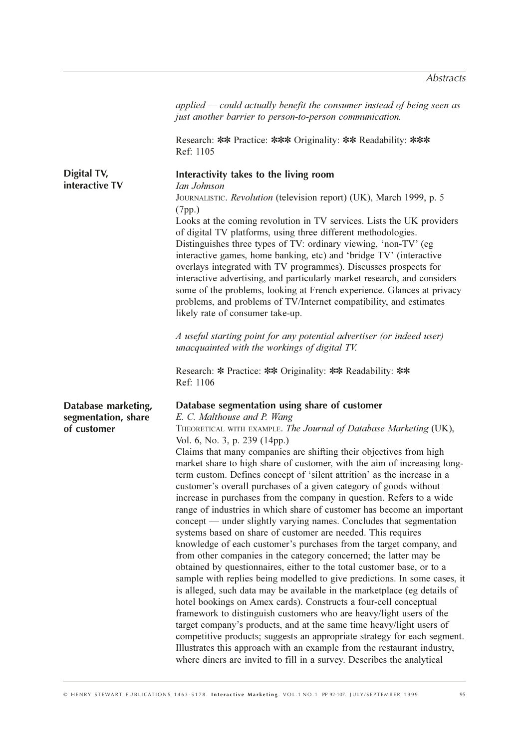|                                                           | applied — could actually benefit the consumer instead of being seen as<br>just another barrier to person-to-person communication.                                                                                                                                                                                                                                                                                                                                                                                                                                                                                                                                                                                                                                                                                                                                                                                                                                                                                                                                                                                                                                                                                                                                                                                                                                                                                                                                                                                                                                                                                |
|-----------------------------------------------------------|------------------------------------------------------------------------------------------------------------------------------------------------------------------------------------------------------------------------------------------------------------------------------------------------------------------------------------------------------------------------------------------------------------------------------------------------------------------------------------------------------------------------------------------------------------------------------------------------------------------------------------------------------------------------------------------------------------------------------------------------------------------------------------------------------------------------------------------------------------------------------------------------------------------------------------------------------------------------------------------------------------------------------------------------------------------------------------------------------------------------------------------------------------------------------------------------------------------------------------------------------------------------------------------------------------------------------------------------------------------------------------------------------------------------------------------------------------------------------------------------------------------------------------------------------------------------------------------------------------------|
|                                                           | Research: ** Practice: *** Originality: ** Readability: ***<br>Ref: 1105                                                                                                                                                                                                                                                                                                                                                                                                                                                                                                                                                                                                                                                                                                                                                                                                                                                                                                                                                                                                                                                                                                                                                                                                                                                                                                                                                                                                                                                                                                                                         |
| Digital TV,<br>interactive TV                             | Interactivity takes to the living room<br>Ian Johnson<br>JOURNALISTIC. Revolution (television report) (UK), March 1999, p. 5<br>(7pp.)<br>Looks at the coming revolution in TV services. Lists the UK providers<br>of digital TV platforms, using three different methodologies.<br>Distinguishes three types of TV: ordinary viewing, 'non-TV' (eg<br>interactive games, home banking, etc) and 'bridge TV' (interactive<br>overlays integrated with TV programmes). Discusses prospects for<br>interactive advertising, and particularly market research, and considers<br>some of the problems, looking at French experience. Glances at privacy<br>problems, and problems of TV/Internet compatibility, and estimates<br>likely rate of consumer take-up.<br>A useful starting point for any potential advertiser (or indeed user)                                                                                                                                                                                                                                                                                                                                                                                                                                                                                                                                                                                                                                                                                                                                                                           |
|                                                           | unacquainted with the workings of digital TV.<br>Research: * Practice: ** Originality: ** Readability: **<br>Ref: 1106                                                                                                                                                                                                                                                                                                                                                                                                                                                                                                                                                                                                                                                                                                                                                                                                                                                                                                                                                                                                                                                                                                                                                                                                                                                                                                                                                                                                                                                                                           |
| Database marketing,<br>segmentation, share<br>of customer | Database segmentation using share of customer<br>E. C. Malthouse and P. Wang<br>THEORETICAL WITH EXAMPLE. The Journal of Database Marketing (UK),<br>Vol. 6, No. 3, p. 239 (14pp.)<br>Claims that many companies are shifting their objectives from high<br>market share to high share of customer, with the aim of increasing long-<br>term custom. Defines concept of 'silent attrition' as the increase in a<br>customer's overall purchases of a given category of goods without<br>increase in purchases from the company in question. Refers to a wide<br>range of industries in which share of customer has become an important<br>concept - under slightly varying names. Concludes that segmentation<br>systems based on share of customer are needed. This requires<br>knowledge of each customer's purchases from the target company, and<br>from other companies in the category concerned; the latter may be<br>obtained by questionnaires, either to the total customer base, or to a<br>sample with replies being modelled to give predictions. In some cases, it<br>is alleged, such data may be available in the marketplace (eg details of<br>hotel bookings on Amex cards). Constructs a four-cell conceptual<br>framework to distinguish customers who are heavy/light users of the<br>target company's products, and at the same time heavy/light users of<br>competitive products; suggests an appropriate strategy for each segment.<br>Illustrates this approach with an example from the restaurant industry,<br>where diners are invited to fill in a survey. Describes the analytical |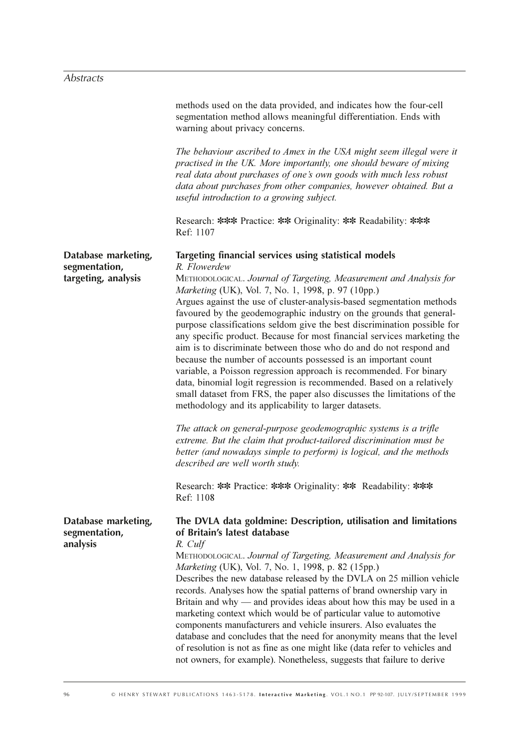# Abstracts

|                                                  | methods used on the data provided, and indicates how the four-cell<br>segmentation method allows meaningful differentiation. Ends with<br>warning about privacy concerns.                                                                                                                                                                                                                                                                                                                                                                                                                                                                                                                                                                                                                                                                                   |
|--------------------------------------------------|-------------------------------------------------------------------------------------------------------------------------------------------------------------------------------------------------------------------------------------------------------------------------------------------------------------------------------------------------------------------------------------------------------------------------------------------------------------------------------------------------------------------------------------------------------------------------------------------------------------------------------------------------------------------------------------------------------------------------------------------------------------------------------------------------------------------------------------------------------------|
|                                                  | The behaviour ascribed to Amex in the USA might seem illegal were it<br>practised in the UK. More importantly, one should beware of mixing<br>real data about purchases of one's own goods with much less robust<br>data about purchases from other companies, however obtained. But a<br>useful introduction to a growing subject.                                                                                                                                                                                                                                                                                                                                                                                                                                                                                                                         |
|                                                  | Research: *** Practice: ** Originality: ** Readability: ***<br>Ref: 1107                                                                                                                                                                                                                                                                                                                                                                                                                                                                                                                                                                                                                                                                                                                                                                                    |
| Database marketing,<br>segmentation,             | Targeting financial services using statistical models<br>R. Flowerdew                                                                                                                                                                                                                                                                                                                                                                                                                                                                                                                                                                                                                                                                                                                                                                                       |
| targeting, analysis                              | METHODOLOGICAL. Journal of Targeting, Measurement and Analysis for<br>Marketing (UK), Vol. 7, No. 1, 1998, p. 97 (10pp.)<br>Argues against the use of cluster-analysis-based segmentation methods<br>favoured by the geodemographic industry on the grounds that general-<br>purpose classifications seldom give the best discrimination possible for<br>any specific product. Because for most financial services marketing the<br>aim is to discriminate between those who do and do not respond and<br>because the number of accounts possessed is an important count<br>variable, a Poisson regression approach is recommended. For binary<br>data, binomial logit regression is recommended. Based on a relatively<br>small dataset from FRS, the paper also discusses the limitations of the<br>methodology and its applicability to larger datasets. |
|                                                  | The attack on general-purpose geodemographic systems is a trifle<br>extreme. But the claim that product-tailored discrimination must be<br>better (and nowadays simple to perform) is logical, and the methods<br>described are well worth study.                                                                                                                                                                                                                                                                                                                                                                                                                                                                                                                                                                                                           |
|                                                  | Research: ** Practice: *** Originality: ** Readability: ***<br>Ref: 1108                                                                                                                                                                                                                                                                                                                                                                                                                                                                                                                                                                                                                                                                                                                                                                                    |
| Database marketing,<br>segmentation,<br>analysis | The DVLA data goldmine: Description, utilisation and limitations<br>of Britain's latest database<br>R. Culf<br>METHODOLOGICAL. Journal of Targeting, Measurement and Analysis for<br>Marketing (UK), Vol. 7, No. 1, 1998, p. 82 (15pp.)<br>Describes the new database released by the DVLA on 25 million vehicle<br>records. Analyses how the spatial patterns of brand ownership vary in<br>Britain and why — and provides ideas about how this may be used in a<br>marketing context which would be of particular value to automotive<br>components manufacturers and vehicle insurers. Also evaluates the<br>database and concludes that the need for anonymity means that the level<br>of resolution is not as fine as one might like (data refer to vehicles and<br>not owners, for example). Nonetheless, suggests that failure to derive             |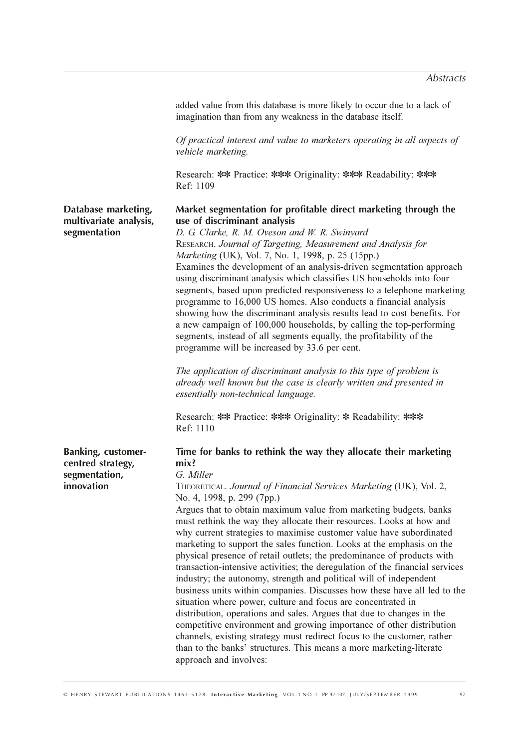added value from this database is more likely to occur due to a lack of imagination than from any weakness in the database itself.

Of practical interest and value to marketers operating in all aspects of vehicle marketing.

Research: \*\* Practice: \*\*\* Originality: \*\*\* Readability: \*\*\* Ref: 1109

# Market segmentation for profitable direct marketing through the use of discriminant analysis

D. G. Clarke, R. M. Oveson and W. R. Swinyard RESEARCH. Journal of Targeting, Measurement and Analysis for Marketing (UK), Vol. 7, No. 1, 1998, p. 25 (15pp.) Examines the development of an analysis-driven segmentation approach using discriminant analysis which classifies US households into four segments, based upon predicted responsiveness to a telephone marketing programme to 16,000 US homes. Also conducts a financial analysis showing how the discriminant analysis results lead to cost benefits. For a new campaign of 100,000 households, by calling the top-performing segments, instead of all segments equally, the profitability of the programme will be increased by 33.6 per cent.

The application of discriminant analysis to this type of problem is already well known but the case is clearly written and presented in essentially non-technical language.

Research: \*\* Practice: \*\*\* Originality: \* Readability: \*\*\* Ref: 1110

**Banking, customer**centred strategy, segmentation, innovation

Database marketing,

multivariate analysis,

segmentation

# Time for banks to rethink the way they allocate their marketing  $mix?$

## G. Miller

THEORETICAL. Journal of Financial Services Marketing (UK), Vol. 2, No. 4, 1998, p. 299 (7pp.)

Argues that to obtain maximum value from marketing budgets, banks must rethink the way they allocate their resources. Looks at how and why current strategies to maximise customer value have subordinated marketing to support the sales function. Looks at the emphasis on the physical presence of retail outlets; the predominance of products with transaction-intensive activities; the deregulation of the financial services industry; the autonomy, strength and political will of independent business units within companies. Discusses how these have all led to the situation where power, culture and focus are concentrated in distribution, operations and sales. Argues that due to changes in the competitive environment and growing importance of other distribution channels, existing strategy must redirect focus to the customer, rather than to the banks' structures. This means a more marketing-literate approach and involves: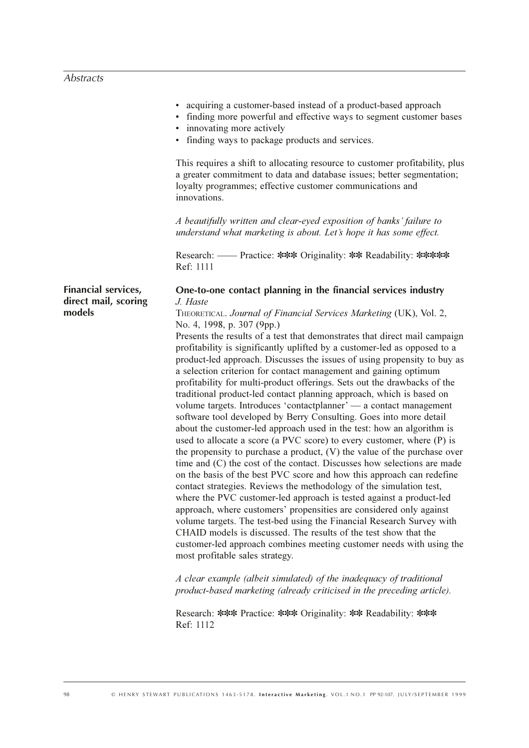|                                                       | • acquiring a customer-based instead of a product-based approach<br>• finding more powerful and effective ways to segment customer bases<br>• innovating more actively<br>• finding ways to package products and services.<br>This requires a shift to allocating resource to customer profitability, plus<br>a greater commitment to data and database issues; better segmentation;<br>loyalty programmes; effective customer communications and<br>innovations.<br>A beautifully written and clear-eyed exposition of banks' failure to<br>understand what marketing is about. Let's hope it has some effect.<br>Research: — Practice: *** Originality: ** Readability: *****<br>Ref: 1111                                                                                                                                                                                                                                                                                                                                                                                                                                                                                                                                                                                                                                                                                                                                                                                                                                                                                                                                                                                                                                                                                                                 |
|-------------------------------------------------------|--------------------------------------------------------------------------------------------------------------------------------------------------------------------------------------------------------------------------------------------------------------------------------------------------------------------------------------------------------------------------------------------------------------------------------------------------------------------------------------------------------------------------------------------------------------------------------------------------------------------------------------------------------------------------------------------------------------------------------------------------------------------------------------------------------------------------------------------------------------------------------------------------------------------------------------------------------------------------------------------------------------------------------------------------------------------------------------------------------------------------------------------------------------------------------------------------------------------------------------------------------------------------------------------------------------------------------------------------------------------------------------------------------------------------------------------------------------------------------------------------------------------------------------------------------------------------------------------------------------------------------------------------------------------------------------------------------------------------------------------------------------------------------------------------------------|
| Financial services,<br>direct mail, scoring<br>models | One-to-one contact planning in the financial services industry<br>J. Haste<br>THEORETICAL. Journal of Financial Services Marketing (UK), Vol. 2,<br>No. 4, 1998, p. 307 (9pp.)<br>Presents the results of a test that demonstrates that direct mail campaign<br>profitability is significantly uplifted by a customer-led as opposed to a<br>product-led approach. Discusses the issues of using propensity to buy as<br>a selection criterion for contact management and gaining optimum<br>profitability for multi-product offerings. Sets out the drawbacks of the<br>traditional product-led contact planning approach, which is based on<br>volume targets. Introduces 'contactplanner' — a contact management<br>software tool developed by Berry Consulting. Goes into more detail<br>about the customer-led approach used in the test: how an algorithm is<br>used to allocate a score (a PVC score) to every customer, where (P) is<br>the propensity to purchase a product, $(V)$ the value of the purchase over<br>time and (C) the cost of the contact. Discusses how selections are made<br>on the basis of the best PVC score and how this approach can redefine<br>contact strategies. Reviews the methodology of the simulation test,<br>where the PVC customer-led approach is tested against a product-led<br>approach, where customers' propensities are considered only against<br>volume targets. The test-bed using the Financial Research Survey with<br>CHAID models is discussed. The results of the test show that the<br>customer-led approach combines meeting customer needs with using the<br>most profitable sales strategy.<br>A clear example (albeit simulated) of the inadequacy of traditional<br>product-based marketing (already criticised in the preceding article). |

Research: \*\*\* Practice: \*\*\* Originality: \*\* Readability: \*\*\* Ref: 1112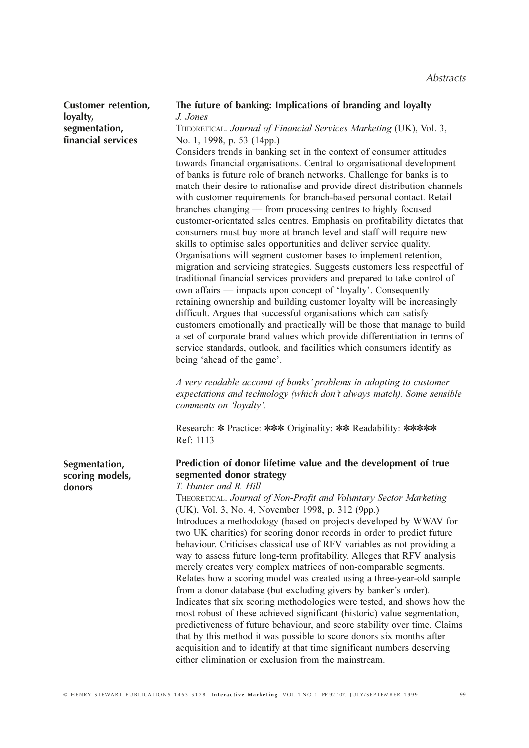| <b>Customer retention,</b><br>loyalty,     | The future of banking: Implications of branding and loyalty<br>J. Jones                                                                                                                                                                                                                                                                                                                                                                                                                                                                                                                                                                                                                                                                                                                                                                                                                                                                                                                                                                                                                                                                                                                                                                                                                                                                                                                                                                                                                                                                                                                                                                                                                                                                            |
|--------------------------------------------|----------------------------------------------------------------------------------------------------------------------------------------------------------------------------------------------------------------------------------------------------------------------------------------------------------------------------------------------------------------------------------------------------------------------------------------------------------------------------------------------------------------------------------------------------------------------------------------------------------------------------------------------------------------------------------------------------------------------------------------------------------------------------------------------------------------------------------------------------------------------------------------------------------------------------------------------------------------------------------------------------------------------------------------------------------------------------------------------------------------------------------------------------------------------------------------------------------------------------------------------------------------------------------------------------------------------------------------------------------------------------------------------------------------------------------------------------------------------------------------------------------------------------------------------------------------------------------------------------------------------------------------------------------------------------------------------------------------------------------------------------|
| segmentation,<br>financial services        | THEORETICAL. Journal of Financial Services Marketing (UK), Vol. 3,<br>No. 1, 1998, p. 53 (14pp.)<br>Considers trends in banking set in the context of consumer attitudes<br>towards financial organisations. Central to organisational development<br>of banks is future role of branch networks. Challenge for banks is to<br>match their desire to rationalise and provide direct distribution channels<br>with customer requirements for branch-based personal contact. Retail<br>branches changing — from processing centres to highly focused<br>customer-orientated sales centres. Emphasis on profitability dictates that<br>consumers must buy more at branch level and staff will require new<br>skills to optimise sales opportunities and deliver service quality.<br>Organisations will segment customer bases to implement retention,<br>migration and servicing strategies. Suggests customers less respectful of<br>traditional financial services providers and prepared to take control of<br>own affairs — impacts upon concept of 'loyalty'. Consequently<br>retaining ownership and building customer loyalty will be increasingly<br>difficult. Argues that successful organisations which can satisfy<br>customers emotionally and practically will be those that manage to build<br>a set of corporate brand values which provide differentiation in terms of<br>service standards, outlook, and facilities which consumers identify as<br>being 'ahead of the game'.<br>A very readable account of banks' problems in adapting to customer<br>expectations and technology (which don't always match). Some sensible<br>comments on 'loyalty'.<br>Research: * Practice: *** Originality: ** Readability: *****<br>Ref: 1113 |
| Segmentation,<br>scoring models,<br>donors | Prediction of donor lifetime value and the development of true<br>segmented donor strategy<br>T. Hunter and R. Hill<br>THEORETICAL. Journal of Non-Profit and Voluntary Sector Marketing<br>(UK), Vol. 3, No. 4, November 1998, p. 312 (9pp.)<br>Introduces a methodology (based on projects developed by WWAV for<br>two UK charities) for scoring donor records in order to predict future<br>behaviour. Criticises classical use of RFV variables as not providing a<br>way to assess future long-term profitability. Alleges that RFV analysis<br>merely creates very complex matrices of non-comparable segments.<br>Relates how a scoring model was created using a three-year-old sample<br>from a donor database (but excluding givers by banker's order).<br>Indicates that six scoring methodologies were tested, and shows how the<br>most robust of these achieved significant (historic) value segmentation,<br>predictiveness of future behaviour, and score stability over time. Claims<br>that by this method it was possible to score donors six months after<br>acquisition and to identify at that time significant numbers deserving<br>either elimination or exclusion from the mainstream.                                                                                                                                                                                                                                                                                                                                                                                                                                                                                                                                   |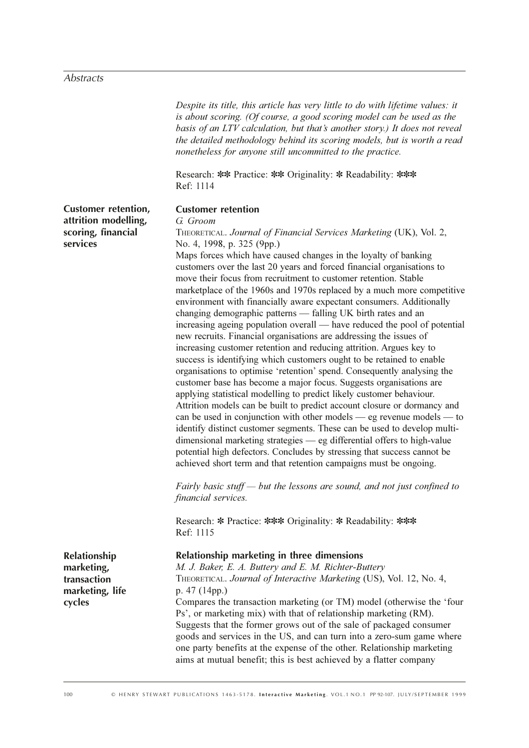# $\overline{\mathit{Abstracts}}$

|                                                                                      | Despite its title, this article has very little to do with lifetime values: it<br>is about scoring. (Of course, a good scoring model can be used as the<br>basis of an LTV calculation, but that's another story.) It does not reveal<br>the detailed methodology behind its scoring models, but is worth a read<br>nonetheless for anyone still uncommitted to the practice.                                                                                                                                                                                                                                                                                                                                                                                                                                                                                                                                                                                                                                                                                                                                                                                                                                                                                                                                                                                                                                                                                                                                                                                                                                                                                                                                                                              |
|--------------------------------------------------------------------------------------|------------------------------------------------------------------------------------------------------------------------------------------------------------------------------------------------------------------------------------------------------------------------------------------------------------------------------------------------------------------------------------------------------------------------------------------------------------------------------------------------------------------------------------------------------------------------------------------------------------------------------------------------------------------------------------------------------------------------------------------------------------------------------------------------------------------------------------------------------------------------------------------------------------------------------------------------------------------------------------------------------------------------------------------------------------------------------------------------------------------------------------------------------------------------------------------------------------------------------------------------------------------------------------------------------------------------------------------------------------------------------------------------------------------------------------------------------------------------------------------------------------------------------------------------------------------------------------------------------------------------------------------------------------------------------------------------------------------------------------------------------------|
|                                                                                      | Research: ** Practice: ** Originality: * Readability: ***<br>Ref: 1114                                                                                                                                                                                                                                                                                                                                                                                                                                                                                                                                                                                                                                                                                                                                                                                                                                                                                                                                                                                                                                                                                                                                                                                                                                                                                                                                                                                                                                                                                                                                                                                                                                                                                     |
| <b>Customer retention,</b><br>attrition modelling,<br>scoring, financial<br>services | <b>Customer retention</b><br>G. Groom<br>THEORETICAL. Journal of Financial Services Marketing (UK), Vol. 2,<br>No. 4, 1998, p. 325 (9pp.)<br>Maps forces which have caused changes in the loyalty of banking<br>customers over the last 20 years and forced financial organisations to<br>move their focus from recruitment to customer retention. Stable<br>marketplace of the 1960s and 1970s replaced by a much more competitive<br>environment with financially aware expectant consumers. Additionally<br>changing demographic patterns - falling UK birth rates and an<br>increasing ageing population overall — have reduced the pool of potential<br>new recruits. Financial organisations are addressing the issues of<br>increasing customer retention and reducing attrition. Argues key to<br>success is identifying which customers ought to be retained to enable<br>organisations to optimise 'retention' spend. Consequently analysing the<br>customer base has become a major focus. Suggests organisations are<br>applying statistical modelling to predict likely customer behaviour.<br>Attrition models can be built to predict account closure or dormancy and<br>can be used in conjunction with other models — eg revenue models — to<br>identify distinct customer segments. These can be used to develop multi-<br>dimensional marketing strategies — eg differential offers to high-value<br>potential high defectors. Concludes by stressing that success cannot be<br>achieved short term and that retention campaigns must be ongoing.<br>Fairly basic stuff $-$ but the lessons are sound, and not just confined to<br><i>financial services.</i><br>Research: * Practice: *** Originality: * Readability: ***<br>Ref: 1115 |
| Relationship<br>marketing,<br>transaction<br>marketing, life<br>cycles               | Relationship marketing in three dimensions<br>M. J. Baker, E. A. Buttery and E. M. Richter-Buttery<br>THEORETICAL. Journal of Interactive Marketing (US), Vol. 12, No. 4,<br>p. 47 (14pp.)<br>Compares the transaction marketing (or TM) model (otherwise the 'four<br>Ps', or marketing mix) with that of relationship marketing (RM).<br>Suggests that the former grows out of the sale of packaged consumer<br>goods and services in the US, and can turn into a zero-sum game where<br>one party benefits at the expense of the other. Relationship marketing<br>aims at mutual benefit; this is best achieved by a flatter company                                                                                                                                                                                                                                                                                                                                                                                                                                                                                                                                                                                                                                                                                                                                                                                                                                                                                                                                                                                                                                                                                                                    |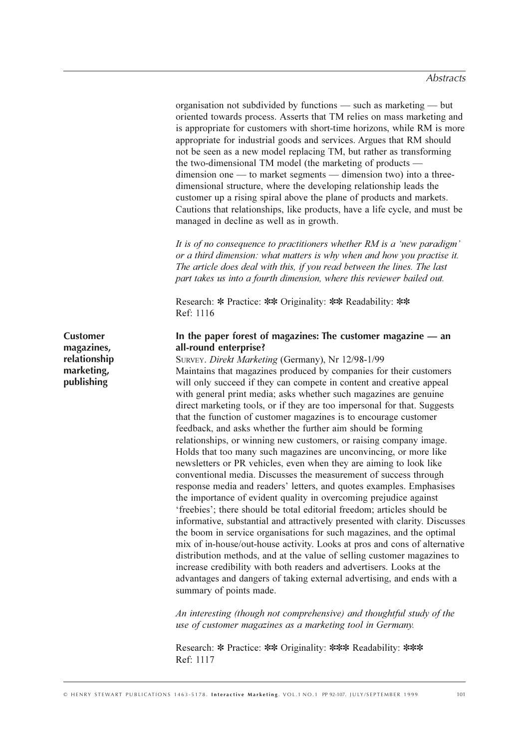organisation not subdivided by functions - such as marketing - but oriented towards process. Asserts that TM relies on mass marketing and is appropriate for customers with short-time horizons, while RM is more appropriate for industrial goods and services. Argues that RM should not be seen as a new model replacing TM, but rather as transforming the two-dimensional TM model (the marketing of products  $dimension one$  — to market segments — dimension two) into a threedimensional structure, where the developing relationship leads the customer up a rising spiral above the plane of products and markets. Cautions that relationships, like products, have a life cycle, and must be managed in decline as well as in growth.

It is of no consequence to practitioners whether RM is a 'new paradigm' or a third dimension: what matters is why when and how you practise it. The article does deal with this, if you read between the lines. The last part takes us into a fourth dimension, where this reviewer bailed out.

Research: \* Practice: \*\* Originality: \*\* Readability: \*\* Ref: 1116

# In the paper forest of magazines: The customer magazine  $-$  an all-round enterprise?

SURVEY. Direkt Marketing (Germany), Nr 12/98-1/99 Maintains that magazines produced by companies for their customers will only succeed if they can compete in content and creative appeal with general print media; asks whether such magazines are genuine direct marketing tools, or if they are too impersonal for that. Suggests that the function of customer magazines is to encourage customer feedback, and asks whether the further aim should be forming relationships, or winning new customers, or raising company image. Holds that too many such magazines are unconvincing, or more like newsletters or PR vehicles, even when they are aiming to look like conventional media. Discusses the measurement of success through response media and readers' letters, and quotes examples. Emphasises the importance of evident quality in overcoming prejudice against 'freebies'; there should be total editorial freedom; articles should be informative, substantial and attractively presented with clarity. Discusses the boom in service organisations for such magazines, and the optimal mix of in-house/out-house activity. Looks at pros and cons of alternative distribution methods, and at the value of selling customer magazines to increase credibility with both readers and advertisers. Looks at the advantages and dangers of taking external advertising, and ends with a summary of points made.

An interesting (though not comprehensive) and thoughtful study of the use of customer magazines as a marketing tool in Germany.

Research: \* Practice: \*\* Originality: \*\*\* Readability: \*\*\* Ref: 1117

**Customer** magazines, relationship marketing, publishing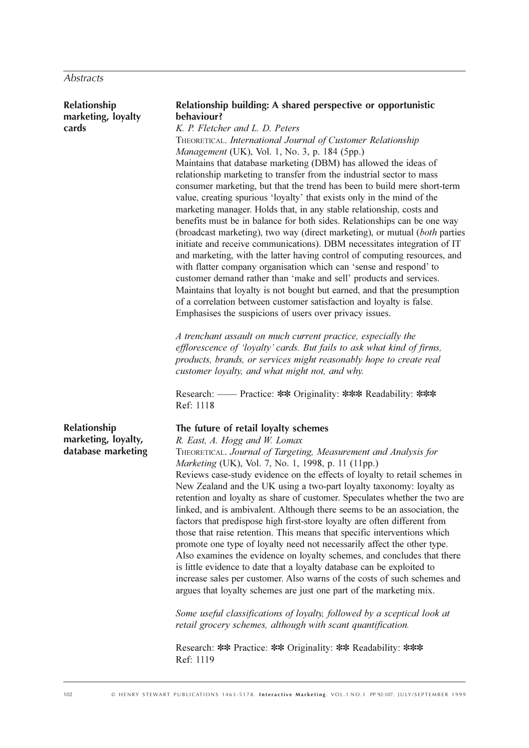Abstracts

| Relationship<br>marketing, loyalty<br>cards               | Relationship building: A shared perspective or opportunistic<br>behaviour?<br>K. P. Fletcher and L. D. Peters<br>THEORETICAL. International Journal of Customer Relationship<br>Management (UK), Vol. 1, No. 3, p. 184 (5pp.)<br>Maintains that database marketing (DBM) has allowed the ideas of<br>relationship marketing to transfer from the industrial sector to mass<br>consumer marketing, but that the trend has been to build mere short-term<br>value, creating spurious 'loyalty' that exists only in the mind of the<br>marketing manager. Holds that, in any stable relationship, costs and<br>benefits must be in balance for both sides. Relationships can be one way<br>(broadcast marketing), two way (direct marketing), or mutual (both parties<br>initiate and receive communications). DBM necessitates integration of IT<br>and marketing, with the latter having control of computing resources, and<br>with flatter company organisation which can 'sense and respond' to<br>customer demand rather than 'make and sell' products and services.<br>Maintains that loyalty is not bought but earned, and that the presumption<br>of a correlation between customer satisfaction and loyalty is false. |
|-----------------------------------------------------------|------------------------------------------------------------------------------------------------------------------------------------------------------------------------------------------------------------------------------------------------------------------------------------------------------------------------------------------------------------------------------------------------------------------------------------------------------------------------------------------------------------------------------------------------------------------------------------------------------------------------------------------------------------------------------------------------------------------------------------------------------------------------------------------------------------------------------------------------------------------------------------------------------------------------------------------------------------------------------------------------------------------------------------------------------------------------------------------------------------------------------------------------------------------------------------------------------------------------------|
|                                                           | Emphasises the suspicions of users over privacy issues.<br>A trenchant assault on much current practice, especially the<br>efflorescence of 'loyalty' cards. But fails to ask what kind of firms,<br>products, brands, or services might reasonably hope to create real<br>customer loyalty, and what might not, and why.<br>Research: — Practice: ** Originality: *** Readability: ***<br>Ref: 1118                                                                                                                                                                                                                                                                                                                                                                                                                                                                                                                                                                                                                                                                                                                                                                                                                         |
| Relationship<br>marketing, loyalty,<br>database marketing | The future of retail loyalty schemes<br>R. East, A. Hogg and W. Lomax<br>THEORETICAL. Journal of Targeting, Measurement and Analysis for<br>Marketing (UK), Vol. 7, No. 1, 1998, p. 11 (11pp.)<br>Reviews case-study evidence on the effects of loyalty to retail schemes in<br>New Zealand and the UK using a two-part loyalty taxonomy: loyalty as<br>retention and loyalty as share of customer. Speculates whether the two are<br>linked, and is ambivalent. Although there seems to be an association, the<br>factors that predispose high first-store loyalty are often different from<br>those that raise retention. This means that specific interventions which<br>promote one type of loyalty need not necessarily affect the other type.<br>Also examines the evidence on loyalty schemes, and concludes that there<br>is little evidence to date that a loyalty database can be exploited to<br>increase sales per customer. Also warns of the costs of such schemes and<br>argues that loyalty schemes are just one part of the marketing mix.<br>Some useful classifications of loyalty, followed by a sceptical look at<br>retail grocery schemes, although with scant quantification.                        |
|                                                           | Research: ** Practice: ** Originality: ** Readability: ***<br>Ref: 1119                                                                                                                                                                                                                                                                                                                                                                                                                                                                                                                                                                                                                                                                                                                                                                                                                                                                                                                                                                                                                                                                                                                                                      |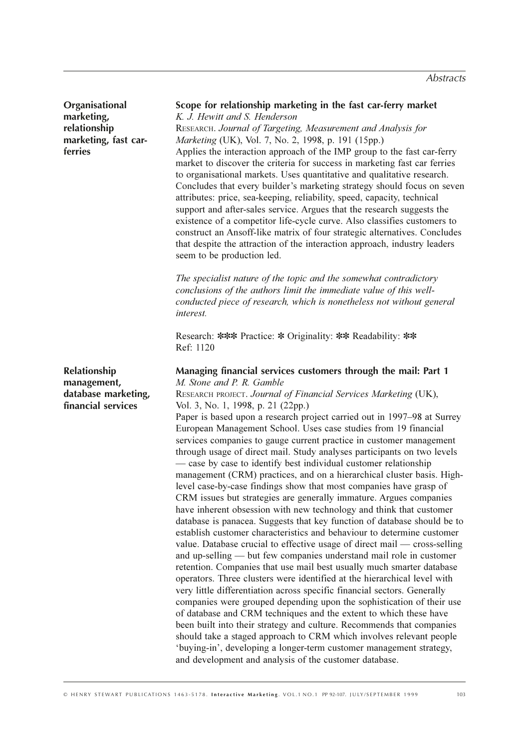Organisational marketing, relationship marketing, fast carferries

Scope for relationship marketing in the fast car-ferry market K. J. Hewitt and S. Henderson RESEARCH. Journal of Targeting, Measurement and Analysis for Marketing (UK), Vol. 7, No. 2, 1998, p. 191 (15pp.) Applies the interaction approach of the IMP group to the fast car-ferry market to discover the criteria for success in marketing fast car ferries to organisational markets. Uses quantitative and qualitative research. Concludes that every builder's marketing strategy should focus on seven attributes: price, sea-keeping, reliability, speed, capacity, technical support and after-sales service. Argues that the research suggests the existence of a competitor life-cycle curve. Also classifies customers to construct an Ansoff-like matrix of four strategic alternatives. Concludes that despite the attraction of the interaction approach, industry leaders seem to be production led.

The specialist nature of the topic and the somewhat contradictory conclusions of the authors limit the immediate value of this wellconducted piece of research, which is nonetheless not without general *interest.* 

Research: \*\*\* Practice: \* Originality: \*\* Readability: \*\* Ref: 1120

**Relationship** management, database marketing, financial services

Managing financial services customers through the mail: Part 1 M. Stone and P. R. Gamble RESEARCH PROJECT. Journal of Financial Services Marketing (UK), Vol. 3, No. 1, 1998, p. 21 (22pp.) Paper is based upon a research project carried out in 1997–98 at Surrey European Management School. Uses case studies from 19 financial services companies to gauge current practice in customer management through usage of direct mail. Study analyses participants on two levels — case by case to identify best individual customer relationship management (CRM) practices, and on a hierarchical cluster basis. Highlevel case-by-case findings show that most companies have grasp of CRM issues but strategies are generally immature. Argues companies have inherent obsession with new technology and think that customer database is panacea. Suggests that key function of database should be to establish customer characteristics and behaviour to determine customer value. Database crucial to effective usage of direct mail — cross-selling and up-selling — but few companies understand mail role in customer retention. Companies that use mail best usually much smarter database operators. Three clusters were identified at the hierarchical level with very little differentiation across specific financial sectors. Generally companies were grouped depending upon the sophistication of their use of database and CRM techniques and the extent to which these have been built into their strategy and culture. Recommends that companies should take a staged approach to CRM which involves relevant people 'buving-in', developing a longer-term customer management strategy, and development and analysis of the customer database.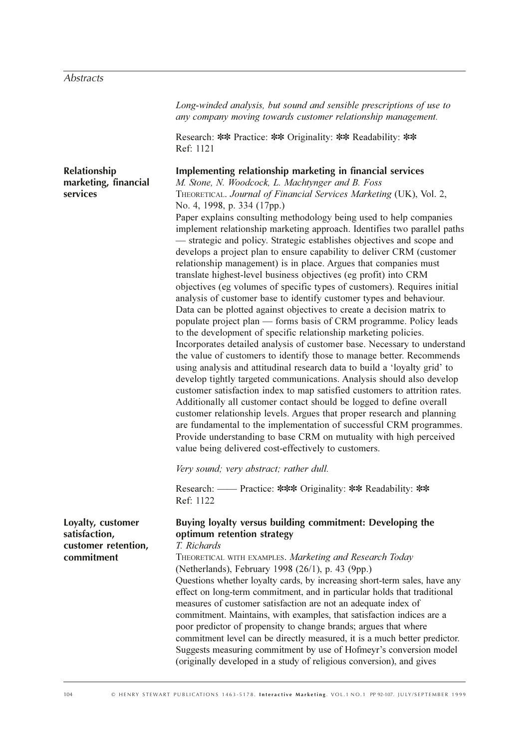|                                                                         | Long-winded analysis, but sound and sensible prescriptions of use to<br>any company moving towards customer relationship management.                                                                                                                                                                                                                                                                                                                                                                                                                                                                                                                                                                                                                                                                                                                                                                                                                                                                                                                                                                                                                                                                                                                                                                                                                                                                                                                                                                                                                                                                                                                                                                                                                                                 |
|-------------------------------------------------------------------------|--------------------------------------------------------------------------------------------------------------------------------------------------------------------------------------------------------------------------------------------------------------------------------------------------------------------------------------------------------------------------------------------------------------------------------------------------------------------------------------------------------------------------------------------------------------------------------------------------------------------------------------------------------------------------------------------------------------------------------------------------------------------------------------------------------------------------------------------------------------------------------------------------------------------------------------------------------------------------------------------------------------------------------------------------------------------------------------------------------------------------------------------------------------------------------------------------------------------------------------------------------------------------------------------------------------------------------------------------------------------------------------------------------------------------------------------------------------------------------------------------------------------------------------------------------------------------------------------------------------------------------------------------------------------------------------------------------------------------------------------------------------------------------------|
|                                                                         | Research: ** Practice: ** Originality: ** Readability: **<br>Ref: 1121                                                                                                                                                                                                                                                                                                                                                                                                                                                                                                                                                                                                                                                                                                                                                                                                                                                                                                                                                                                                                                                                                                                                                                                                                                                                                                                                                                                                                                                                                                                                                                                                                                                                                                               |
| Relationship<br>marketing, financial<br>services                        | Implementing relationship marketing in financial services<br>M. Stone, N. Woodcock, L. Machtynger and B. Foss<br>THEORETICAL. Journal of Financial Services Marketing (UK), Vol. 2,<br>No. 4, 1998, p. 334 (17pp.)<br>Paper explains consulting methodology being used to help companies<br>implement relationship marketing approach. Identifies two parallel paths<br>- strategic and policy. Strategic establishes objectives and scope and<br>develops a project plan to ensure capability to deliver CRM (customer<br>relationship management) is in place. Argues that companies must<br>translate highest-level business objectives (eg profit) into CRM<br>objectives (eg volumes of specific types of customers). Requires initial<br>analysis of customer base to identify customer types and behaviour.<br>Data can be plotted against objectives to create a decision matrix to<br>populate project plan — forms basis of CRM programme. Policy leads<br>to the development of specific relationship marketing policies.<br>Incorporates detailed analysis of customer base. Necessary to understand<br>the value of customers to identify those to manage better. Recommends<br>using analysis and attitudinal research data to build a 'loyalty grid' to<br>develop tightly targeted communications. Analysis should also develop<br>customer satisfaction index to map satisfied customers to attrition rates.<br>Additionally all customer contact should be logged to define overall<br>customer relationship levels. Argues that proper research and planning<br>are fundamental to the implementation of successful CRM programmes.<br>Provide understanding to base CRM on mutuality with high perceived<br>value being delivered cost-effectively to customers. |
|                                                                         | Very sound; very abstract; rather dull.                                                                                                                                                                                                                                                                                                                                                                                                                                                                                                                                                                                                                                                                                                                                                                                                                                                                                                                                                                                                                                                                                                                                                                                                                                                                                                                                                                                                                                                                                                                                                                                                                                                                                                                                              |
|                                                                         | Research: — Practice: *** Originality: ** Readability: **<br>Ref: 1122                                                                                                                                                                                                                                                                                                                                                                                                                                                                                                                                                                                                                                                                                                                                                                                                                                                                                                                                                                                                                                                                                                                                                                                                                                                                                                                                                                                                                                                                                                                                                                                                                                                                                                               |
| Loyalty, customer<br>satisfaction,<br>customer retention,<br>commitment | Buying loyalty versus building commitment: Developing the<br>optimum retention strategy<br>T. Richards<br>THEORETICAL WITH EXAMPLES. Marketing and Research Today<br>(Netherlands), February 1998 (26/1), p. 43 (9pp.)<br>Questions whether loyalty cards, by increasing short-term sales, have any<br>effect on long-term commitment, and in particular holds that traditional<br>measures of customer satisfaction are not an adequate index of<br>commitment. Maintains, with examples, that satisfaction indices are a<br>poor predictor of propensity to change brands; argues that where<br>commitment level can be directly measured, it is a much better predictor.<br>Suggests measuring commitment by use of Hofmeyr's conversion model<br>(originally developed in a study of religious conversion), and gives                                                                                                                                                                                                                                                                                                                                                                                                                                                                                                                                                                                                                                                                                                                                                                                                                                                                                                                                                            |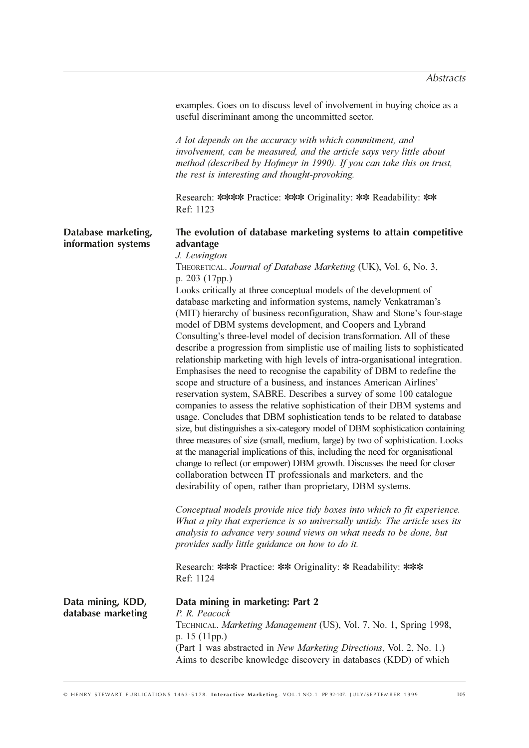examples. Goes on to discuss level of involvement in buying choice as a useful discriminant among the uncommitted sector.

A lot depends on the accuracy with which commitment, and involvement, can be measured, and the article says very little about method (described by Hofmeyr in 1990). If you can take this on trust. the rest is interesting and thought-provoking.

Research: \*\*\*\* Practice: \*\*\* Originality: \*\* Readability: \*\* Ref: 1123

#### Database marketing, information systems

# The evolution of database marketing systems to attain competitive advantage

J. Lewington

THEORETICAL. Journal of Database Marketing (UK), Vol. 6, No. 3, p. 203 (17pp.)

Looks critically at three conceptual models of the development of database marketing and information systems, namely Venkatraman's (MIT) hierarchy of business reconfiguration, Shaw and Stone's four-stage model of DBM systems development, and Coopers and Lybrand Consulting's three-level model of decision transformation. All of these describe a progression from simplistic use of mailing lists to sophisticated relationship marketing with high levels of intra-organisational integration. Emphasises the need to recognise the capability of DBM to redefine the scope and structure of a business, and instances American Airlines' reservation system, SABRE. Describes a survey of some 100 catalogue companies to assess the relative sophistication of their DBM systems and usage. Concludes that DBM sophistication tends to be related to database size, but distinguishes a six-category model of DBM sophistication containing three measures of size (small, medium, large) by two of sophistication. Looks at the managerial implications of this, including the need for organisational change to reflect (or empower) DBM growth. Discusses the need for closer collaboration between IT professionals and marketers, and the desirability of open, rather than proprietary, DBM systems.

Conceptual models provide nice tidy boxes into which to fit experience. What a pity that experience is so universally untidy. The article uses its analysis to advance very sound views on what needs to be done, but provides sadly little guidance on how to do it.

Research: \*\*\* Practice: \*\* Originality: \* Readability: \*\*\* Ref: 1124

| Data mining, KDD,  | Data mining in marketing: Part 2                                            |
|--------------------|-----------------------------------------------------------------------------|
| database marketing | P. R. Peacock                                                               |
|                    | TECHNICAL. Marketing Management (US), Vol. 7, No. 1, Spring 1998,           |
|                    | p. $15$ (11pp.)                                                             |
|                    | (Part 1 was abstracted in <i>New Marketing Directions</i> , Vol. 2, No. 1.) |
|                    | Aims to describe knowledge discovery in databases (KDD) of which            |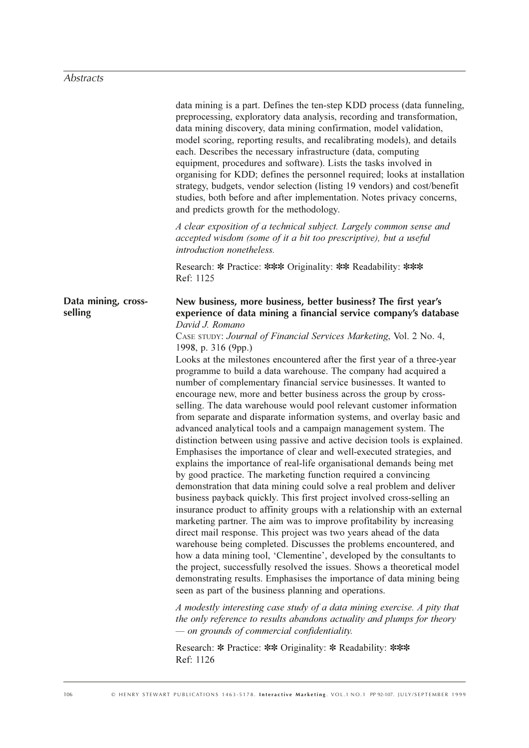|                                | data mining is a part. Defines the ten-step KDD process (data funneling,<br>preprocessing, exploratory data analysis, recording and transformation,<br>data mining discovery, data mining confirmation, model validation,<br>model scoring, reporting results, and recalibrating models), and details<br>each. Describes the necessary infrastructure (data, computing<br>equipment, procedures and software). Lists the tasks involved in<br>organising for KDD; defines the personnel required; looks at installation<br>strategy, budgets, vendor selection (listing 19 vendors) and cost/benefit<br>studies, both before and after implementation. Notes privacy concerns,<br>and predicts growth for the methodology.                                                                                                                                                                                                                                                                                                                                                                                                                                                                                                                                                                                                                                                                                                                                                                                                                                                                                                                                                                                                                            |
|--------------------------------|-------------------------------------------------------------------------------------------------------------------------------------------------------------------------------------------------------------------------------------------------------------------------------------------------------------------------------------------------------------------------------------------------------------------------------------------------------------------------------------------------------------------------------------------------------------------------------------------------------------------------------------------------------------------------------------------------------------------------------------------------------------------------------------------------------------------------------------------------------------------------------------------------------------------------------------------------------------------------------------------------------------------------------------------------------------------------------------------------------------------------------------------------------------------------------------------------------------------------------------------------------------------------------------------------------------------------------------------------------------------------------------------------------------------------------------------------------------------------------------------------------------------------------------------------------------------------------------------------------------------------------------------------------------------------------------------------------------------------------------------------------|
|                                | A clear exposition of a technical subject. Largely common sense and<br>accepted wisdom (some of it a bit too prescriptive), but a useful<br>introduction nonetheless.                                                                                                                                                                                                                                                                                                                                                                                                                                                                                                                                                                                                                                                                                                                                                                                                                                                                                                                                                                                                                                                                                                                                                                                                                                                                                                                                                                                                                                                                                                                                                                                 |
|                                | Research: * Practice: *** Originality: ** Readability: ***<br>Ref: 1125                                                                                                                                                                                                                                                                                                                                                                                                                                                                                                                                                                                                                                                                                                                                                                                                                                                                                                                                                                                                                                                                                                                                                                                                                                                                                                                                                                                                                                                                                                                                                                                                                                                                               |
| Data mining, cross-<br>selling | New business, more business, better business? The first year's<br>experience of data mining a financial service company's database<br>David J. Romano<br>CASE STUDY: Journal of Financial Services Marketing, Vol. 2 No. 4,<br>1998, p. 316 (9pp.)<br>Looks at the milestones encountered after the first year of a three-year<br>programme to build a data warehouse. The company had acquired a<br>number of complementary financial service businesses. It wanted to<br>encourage new, more and better business across the group by cross-<br>selling. The data warehouse would pool relevant customer information<br>from separate and disparate information systems, and overlay basic and<br>advanced analytical tools and a campaign management system. The<br>distinction between using passive and active decision tools is explained.<br>Emphasises the importance of clear and well-executed strategies, and<br>explains the importance of real-life organisational demands being met<br>by good practice. The marketing function required a convincing<br>demonstration that data mining could solve a real problem and deliver<br>business payback quickly. This first project involved cross-selling an<br>insurance product to affinity groups with a relationship with an external<br>marketing partner. The aim was to improve profitability by increasing<br>direct mail response. This project was two years ahead of the data<br>warehouse being completed. Discusses the problems encountered, and<br>how a data mining tool, 'Clementine', developed by the consultants to<br>the project, successfully resolved the issues. Shows a theoretical model<br>demonstrating results. Emphasises the importance of data mining being |
|                                | seen as part of the business planning and operations.<br>A modestly interesting case study of a data mining exercise. A pity that<br>the only reference to results abandons actuality and plumps for theory                                                                                                                                                                                                                                                                                                                                                                                                                                                                                                                                                                                                                                                                                                                                                                                                                                                                                                                                                                                                                                                                                                                                                                                                                                                                                                                                                                                                                                                                                                                                           |
|                                | $-$ on grounds of commercial confidentiality.<br>Research: * Practice: ** Originality: * Readability: ***<br>Ref: 1126                                                                                                                                                                                                                                                                                                                                                                                                                                                                                                                                                                                                                                                                                                                                                                                                                                                                                                                                                                                                                                                                                                                                                                                                                                                                                                                                                                                                                                                                                                                                                                                                                                |